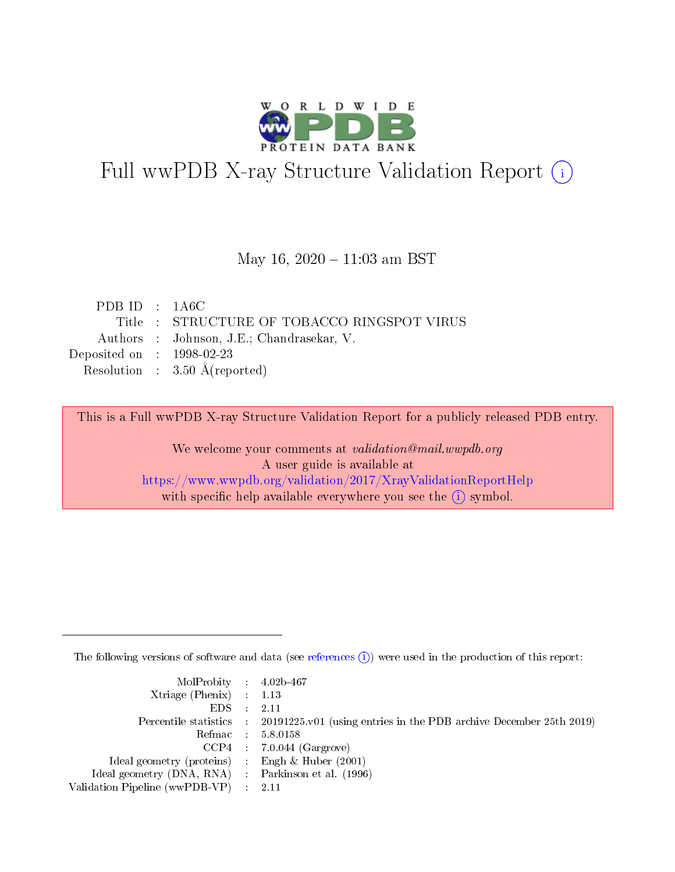

# Full wwPDB X-ray Structure Validation Report (i)

#### May 16,  $2020 - 11:03$  am BST

| PDB ID : $1A6C$             |                                             |
|-----------------------------|---------------------------------------------|
|                             | Title : STRUCTURE OF TOBACCO RINGSPOT VIRUS |
|                             | Authors : Johnson, J.E.; Chandrasekar, V.   |
| Deposited on : $1998-02-23$ |                                             |
|                             | Resolution : $3.50 \text{ Å}$ (reported)    |
|                             |                                             |

This is a Full wwPDB X-ray Structure Validation Report for a publicly released PDB entry.

We welcome your comments at validation@mail.wwpdb.org A user guide is available at <https://www.wwpdb.org/validation/2017/XrayValidationReportHelp> with specific help available everywhere you see the  $(i)$  symbol.

The following versions of software and data (see [references](https://www.wwpdb.org/validation/2017/XrayValidationReportHelp#references)  $(i)$ ) were used in the production of this report:

| MolProbity : $4.02b-467$                            |                                                                                            |
|-----------------------------------------------------|--------------------------------------------------------------------------------------------|
| Xtriage (Phenix) $: 1.13$                           |                                                                                            |
| EDS -                                               | 2.11                                                                                       |
|                                                     | Percentile statistics : 20191225.v01 (using entries in the PDB archive December 25th 2019) |
|                                                     | Refmac 58.0158                                                                             |
|                                                     | $CCP4$ 7.0.044 (Gargrove)                                                                  |
| Ideal geometry (proteins) : Engh $\&$ Huber (2001)  |                                                                                            |
| Ideal geometry (DNA, RNA) : Parkinson et al. (1996) |                                                                                            |
| Validation Pipeline (wwPDB-VP)                      | -2.11                                                                                      |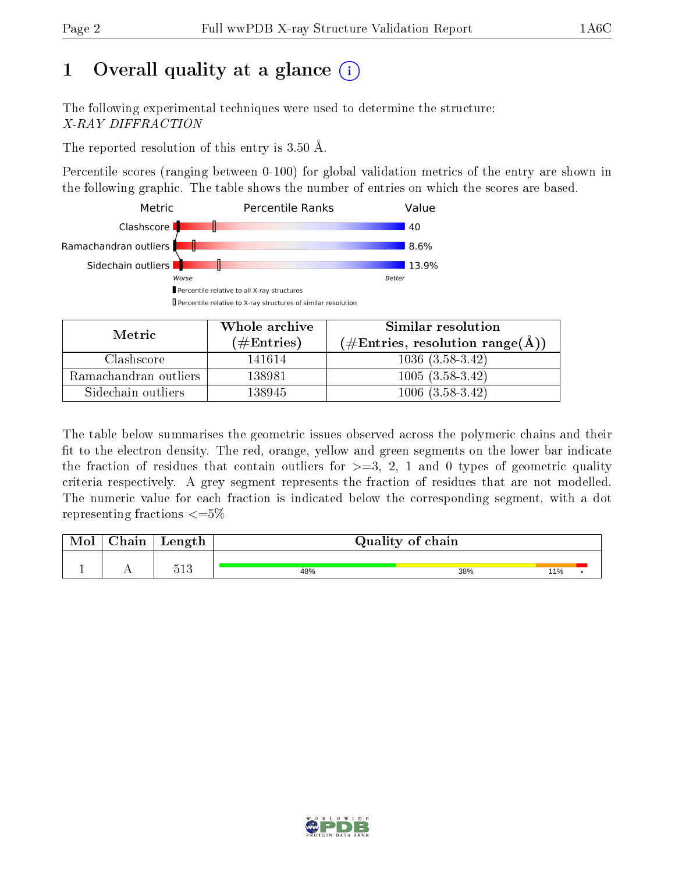# 1 [O](https://www.wwpdb.org/validation/2017/XrayValidationReportHelp#overall_quality)verall quality at a glance  $(i)$

The following experimental techniques were used to determine the structure: X-RAY DIFFRACTION

The reported resolution of this entry is  $3.50 \text{ Å}.$ 

Percentile scores (ranging between 0-100) for global validation metrics of the entry are shown in the following graphic. The table shows the number of entries on which the scores are based.



| Metric                | Whole archive       | Similar resolution                                 |  |  |
|-----------------------|---------------------|----------------------------------------------------|--|--|
|                       | (# $\rm{Entries}$ ) | $(\text{\#Entries, resolution range}(\text{\AA}))$ |  |  |
| Clashscore            | 141614              | $1036(3.58-3.42)$                                  |  |  |
| Ramachandran outliers | 138981              | $1005(3.58-3.42)$                                  |  |  |
| Sidechain outliers    | 138945              | $1006(3.58-3.42)$                                  |  |  |

The table below summarises the geometric issues observed across the polymeric chains and their fit to the electron density. The red, orange, yellow and green segments on the lower bar indicate the fraction of residues that contain outliers for  $\geq=3$ , 2, 1 and 0 types of geometric quality criteria respectively. A grey segment represents the fraction of residues that are not modelled. The numeric value for each fraction is indicated below the corresponding segment, with a dot representing fractions  $\leq=5\%$ 

| Mol | ${\bf Chain}$ | Length  | Quality of chain |     |     |  |  |  |  |
|-----|---------------|---------|------------------|-----|-----|--|--|--|--|
| -   |               | $513\,$ | 48%              | 38% | 11% |  |  |  |  |

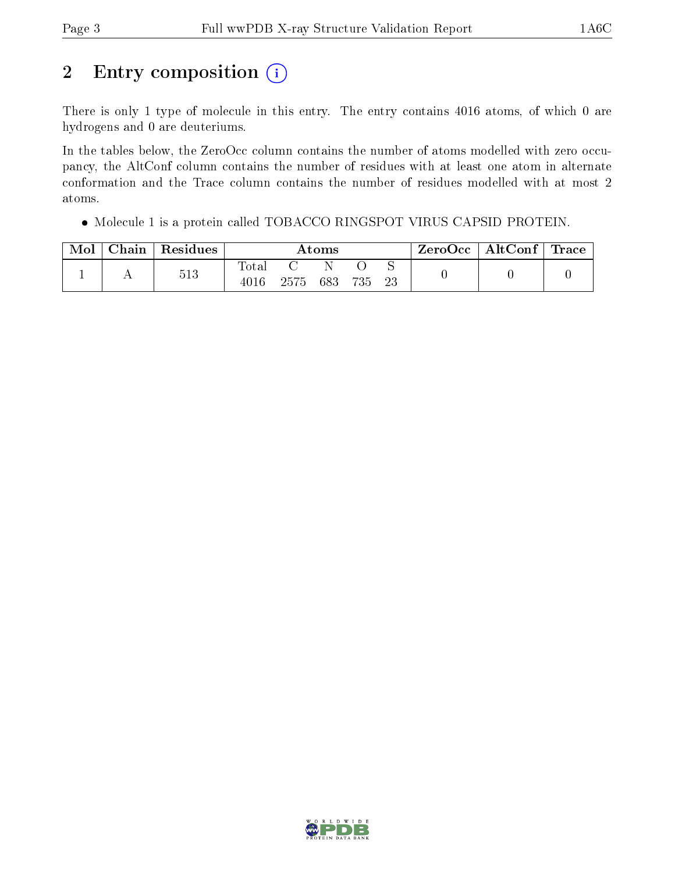# 2 Entry composition  $(i)$

There is only 1 type of molecule in this entry. The entry contains 4016 atoms, of which 0 are hydrogens and 0 are deuteriums.

In the tables below, the ZeroOcc column contains the number of atoms modelled with zero occupancy, the AltConf column contains the number of residues with at least one atom in alternate conformation and the Trace column contains the number of residues modelled with at most 2 atoms.

Molecule 1 is a protein called TOBACCO RINGSPOT VIRUS CAPSID PROTEIN.

| Mol | Chain | Residues | Atoms                    |      |     |     | ZeroOcc | $\mid$ AltConf $\mid$ Trace |  |  |
|-----|-------|----------|--------------------------|------|-----|-----|---------|-----------------------------|--|--|
|     |       | 513      | $\mathrm{Tota}.$<br>4016 | 2575 | 683 | 735 | 23      |                             |  |  |

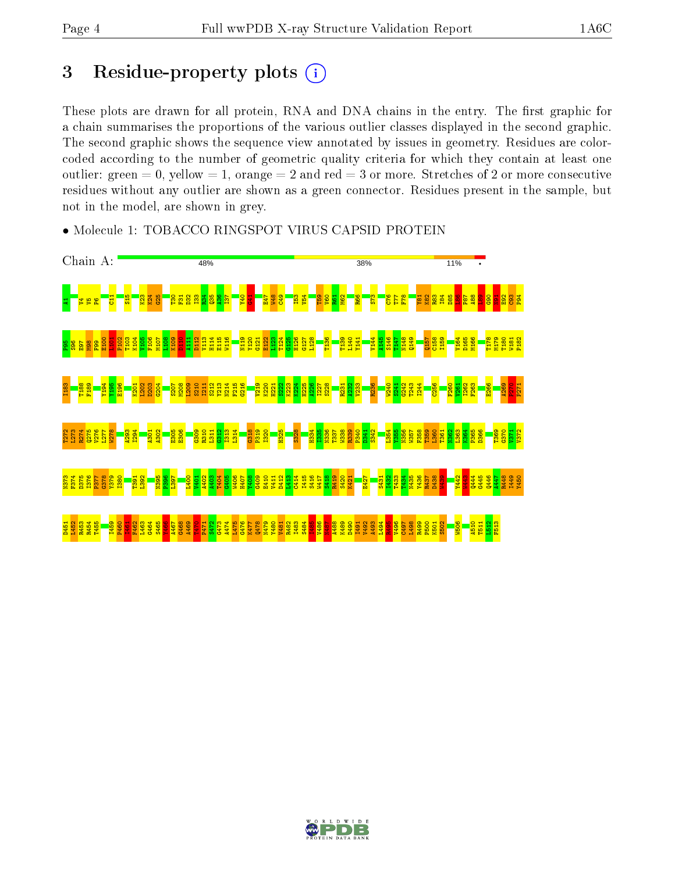## 3 Residue-property plots  $(i)$

These plots are drawn for all protein, RNA and DNA chains in the entry. The first graphic for a chain summarises the proportions of the various outlier classes displayed in the second graphic. The second graphic shows the sequence view annotated by issues in geometry. Residues are colorcoded according to the number of geometric quality criteria for which they contain at least one outlier: green  $= 0$ , yellow  $= 1$ , orange  $= 2$  and red  $= 3$  or more. Stretches of 2 or more consecutive residues without any outlier are shown as a green connector. Residues present in the sample, but not in the model, are shown in grey.



• Molecule 1: TOBACCO RINGSPOT VIRUS CAPSID PROTEIN

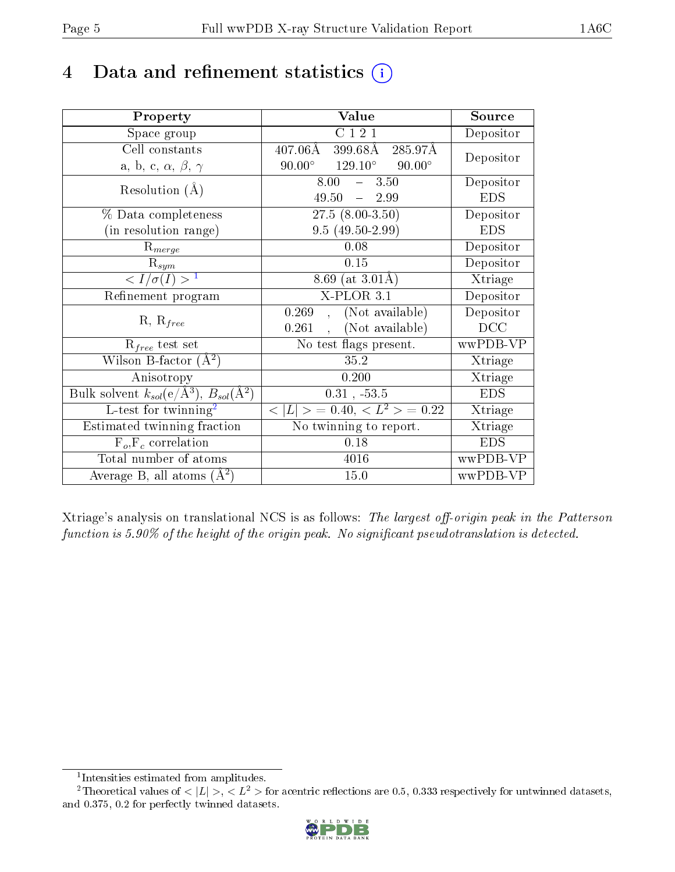## 4 Data and refinement statistics  $(i)$

| Property                                                                | Value                                             | Source                       |
|-------------------------------------------------------------------------|---------------------------------------------------|------------------------------|
| Space group                                                             | C121                                              | Depositor                    |
| Cell constants                                                          | $407.06\rm \AA$<br>399.68Å<br>285.97Å             | Depositor                    |
| a, b, c, $\alpha$ , $\beta$ , $\gamma$                                  | $90.00^{\circ}$ $129.10^{\circ}$<br>$90.00^\circ$ |                              |
|                                                                         | 8.00<br>$-3.50$                                   | Depositor                    |
| Resolution $(A)$                                                        | 49.50<br>$-2.99$                                  | <b>EDS</b>                   |
| % Data completeness                                                     | $27.5(8.00-3.50)$                                 | Depositor                    |
| (in resolution range)                                                   | $9.5(49.50-2.99)$                                 | <b>EDS</b>                   |
| $R_{merge}$                                                             | 0.08                                              | Depositor                    |
| $\mathrm{R}_{sym}$                                                      | 0.15                                              | Depositor                    |
| $\langle I/\sigma(I) \rangle^{-1}$                                      | 8.69 (at $3.01\text{\AA}$ )                       | $\overline{\text{X}}$ triage |
| Refinement program                                                      | $X$ -PLOR $3.1$                                   | Depositor                    |
|                                                                         | (Not available)<br>0.269<br>$\mathcal{L}$         | Depositor                    |
| $R, R_{free}$                                                           | (Not available)<br>0.261                          | DCC                          |
| $R_{free}$ test set                                                     | No test flags present.                            | wwPDB-VP                     |
| Wilson B-factor $(A^2)$                                                 | 35.2                                              | Xtriage                      |
| Anisotropy                                                              | 0.200                                             | Xtriage                      |
| Bulk solvent $k_{sol}(\mathrm{e}/\mathrm{A}^3),\,B_{sol}(\mathrm{A}^2)$ | $0.31$ , $-53.5$                                  | <b>EDS</b>                   |
| L-test for $\overline{\text{twinning}}^2$                               | $< L >$ = 0.40, $< L2$ > = 0.22                   | Xtriage                      |
| Estimated twinning fraction                                             | No twinning to report.                            | Xtriage                      |
| $\overline{F_o}, \overline{F_c}$ correlation                            | 0.18                                              | <b>EDS</b>                   |
| Total number of atoms                                                   | 4016                                              | wwPDB-VP                     |
| Average B, all atoms $(A^2)$                                            | 15.0                                              | wwPDB-VP                     |

Xtriage's analysis on translational NCS is as follows: The largest off-origin peak in the Patterson function is  $5.90\%$  of the height of the origin peak. No significant pseudotranslation is detected.

<sup>&</sup>lt;sup>2</sup>Theoretical values of  $\langle |L| \rangle$ ,  $\langle L^2 \rangle$  for acentric reflections are 0.5, 0.333 respectively for untwinned datasets, and 0.375, 0.2 for perfectly twinned datasets.



<span id="page-4-1"></span><span id="page-4-0"></span><sup>1</sup> Intensities estimated from amplitudes.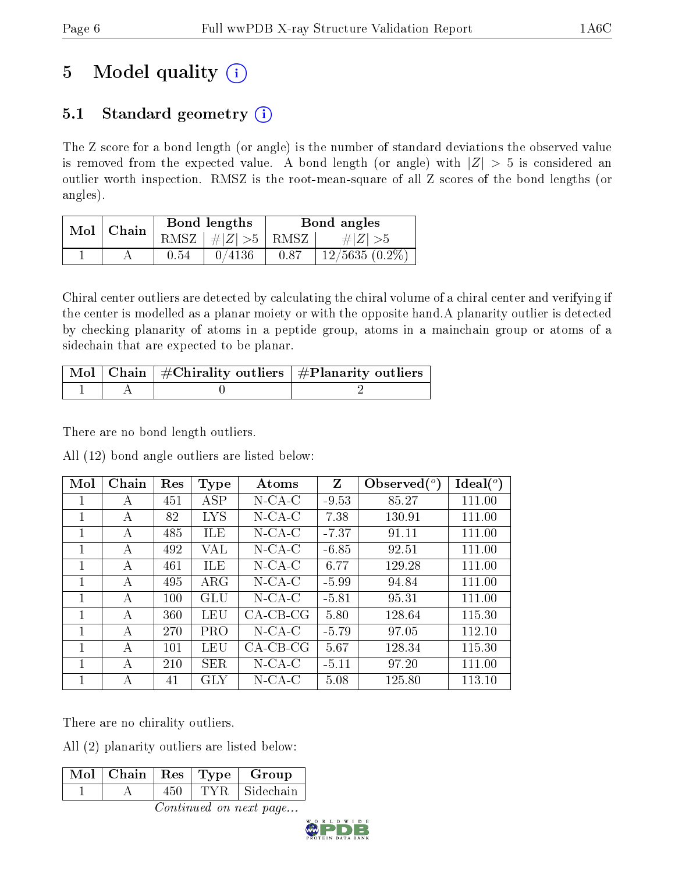# 5 Model quality  $(i)$

## 5.1 Standard geometry  $(i)$

The Z score for a bond length (or angle) is the number of standard deviations the observed value is removed from the expected value. A bond length (or angle) with  $|Z| > 5$  is considered an outlier worth inspection. RMSZ is the root-mean-square of all Z scores of the bond lengths (or angles).

| Mol | Chain |      | Bond lengths  | Bond angles |                  |  |
|-----|-------|------|---------------|-------------|------------------|--|
|     |       | RMSZ | $\#Z >5$ RMSZ |             | $\# Z  > 5$      |  |
|     |       | 0.54 | 0/4136        | 0.87        | $12/5635(0.2\%)$ |  |

Chiral center outliers are detected by calculating the chiral volume of a chiral center and verifying if the center is modelled as a planar moiety or with the opposite hand.A planarity outlier is detected by checking planarity of atoms in a peptide group, atoms in a mainchain group or atoms of a sidechain that are expected to be planar.

|  | $\lceil \text{ Mol} \rceil$ Chain $\mid \#\text{Chirality outliers} \mid \#\text{Planarity outliers} \mid$ |
|--|------------------------------------------------------------------------------------------------------------|
|  |                                                                                                            |

There are no bond length outliers.

All (12) bond angle outliers are listed below:

| Mol | Chain | Res | Type       | Atoms      | $Z_{\rm}$ | Observed $(°)$ | $Ideal(^o)$ |
|-----|-------|-----|------------|------------|-----------|----------------|-------------|
|     | А     | 451 | ASP        | $N$ -CA-C  | $-9.53$   | 85.27          | 111.00      |
| 1   | A     | 82  | LYS        | $N$ -CA-C  | 7.38      | 130.91         | 111.00      |
| 1   | A     | 485 | ILE        | $N$ -CA-C  | $-7.37$   | 91.11          | 111.00      |
| 1   | А     | 492 | VAL        | $N$ -CA-C  | $-6.85$   | 92.51          | 111.00      |
| 1   | A     | 461 | ILE        | $N$ -CA-C  | 6.77      | 129.28         | 111.00      |
|     | A     | 495 | $\rm{ARG}$ | $N$ -CA-C  | $-5.99$   | 94.84          | 111.00      |
| 1   | А     | 100 | GLU        | $N$ -CA-C  | $-5.81$   | 95.31          | 111.00      |
| 1   | А     | 360 | LEU        | $CA-CB-CG$ | 5.80      | 128.64         | 115.30      |
| 1   | А     | 270 | <b>PRO</b> | $N$ -CA-C  | $-5.79$   | 97.05          | 112.10      |
| 1   | A     | 101 | LEU        | $CA-CB-CG$ | 5.67      | 128.34         | 115.30      |
| 1   | А     | 210 | SER.       | $N$ -CA-C  | $-5.11$   | 97.20          | 111.00      |
| 1   | А     | 41  | GLY        | $N$ -CA-C  | 5.08      | 125.80         | 113.10      |

There are no chirality outliers.

All (2) planarity outliers are listed below:

| $\lceil\overline{\text{M}}\text{o}$ l   Chain   Res   Type |       | Group     |
|------------------------------------------------------------|-------|-----------|
|                                                            | TVR – | Sidechain |

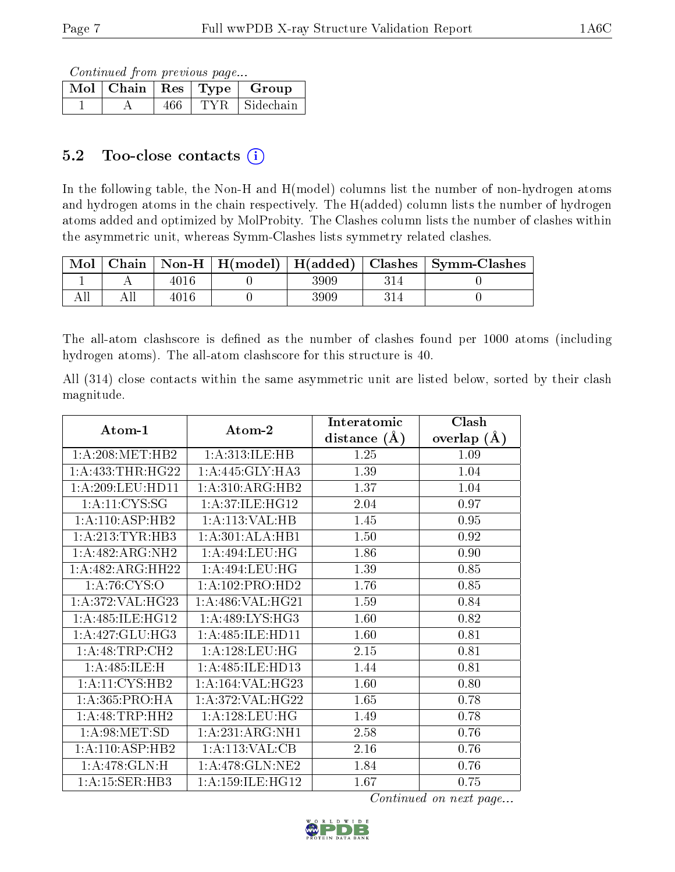Continued from previous page...

| Mol | Chain   Res   Type |      | Group     |
|-----|--------------------|------|-----------|
|     |                    | TYR. | Sidechain |

### 5.2 Too-close contacts (i)

In the following table, the Non-H and H(model) columns list the number of non-hydrogen atoms and hydrogen atoms in the chain respectively. The H(added) column lists the number of hydrogen atoms added and optimized by MolProbity. The Clashes column lists the number of clashes within the asymmetric unit, whereas Symm-Clashes lists symmetry related clashes.

| Mol |      |      | Chain   Non-H   H(model)   H(added)   Clashes   Symm-Clashes |
|-----|------|------|--------------------------------------------------------------|
|     | 4016 | 3909 |                                                              |
|     | 4016 | 3909 |                                                              |

The all-atom clashscore is defined as the number of clashes found per 1000 atoms (including hydrogen atoms). The all-atom clashscore for this structure is 40.

All (314) close contacts within the same asymmetric unit are listed below, sorted by their clash magnitude.

|                      |                      | Interatomic    | Clash         |
|----------------------|----------------------|----------------|---------------|
| Atom-1               | Atom-2               | distance $(A)$ | overlap $(A)$ |
| $1:$ A:208:MET:HB2   | 1: A:313: ILE: HB    | 1.25           | 1.09          |
| 1: A: 433: THR: HG22 | 1:A:445:GLY:HA3      | 1.39           | 1.04          |
| 1: A:209:LEU:HD11    | 1:A:310:ARG:HB2      | 1.37           | 1.04          |
| 1: A: 11: CYS: SG    | 1:A:37:ILE:HG12      | 2.04           | 0.97          |
| 1: A: 110: ASP: HB2  | 1:A:113:VAL:HB       | 1.45           | 0.95          |
| 1: A:213: TYR:HB3    | 1:A:301:ALA:HB1      | 1.50           | 0.92          |
| 1:A:482:ARG:NH2      | 1: A:494:LEU:HG      | 1.86           | 0.90          |
| 1:A:482:ARG:HH22     | 1: A:494:LEU:HG      | 1.39           | 0.85          |
| 1: A:76: CYS:O       | 1:A:102:PRO:HD2      | 1.76           | 0.85          |
| 1: A:372: VAL:HG23   | 1: A:486: VAL:HG21   | 1.59           | 0.84          |
| 1:A:485:ILE:HG12     | 1: A:489: LYS: HG3   | 1.60           | 0.82          |
| 1: A:427: GLU:HG3    | 1:A:485:ILE:HD11     | 1.60           | 0.81          |
| 1: A:48:TRP:CH2      | 1: A: 128: LEU: HG   | 2.15           | 0.81          |
| 1:A:485:ILE:H        | 1:A:485:ILE:HD13     | 1.44           | 0.81          |
| 1:A:11:CYS:HB2       | 1:A:164:VAL:HG23     | 1.60           | 0.80          |
| 1: A: 365: PRO: HA   | 1: A:372: VAL:HG22   | 1.65           | 0.78          |
| 1:A:48:TRP:HH2       | 1: A:128:LEU:HG      | 1.49           | 0.78          |
| 1: A:98: MET:SD      | 1:A:231:ARG:NH1      | 2.58           | 0.76          |
| 1: A: 110: ASP: HB2  | 1: A:113: VAL:CB     | 2.16           | 0.76          |
| 1: A:478: GLN:H      | 1: A:478: GLN: NE2   | 1.84           | 0.76          |
| 1:A:15:SER:HB3       | 1: A: 159: ILE: HG12 | 1.67           | 0.75          |

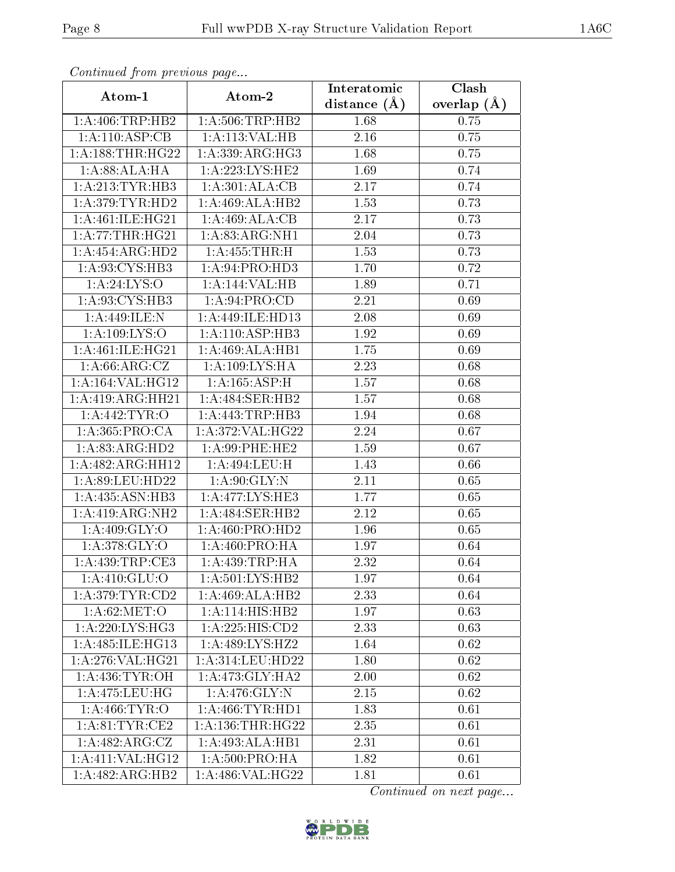| сонинией јтот ртеvиоиз раде         |                                     | Interatomic       | Clash         |  |
|-------------------------------------|-------------------------------------|-------------------|---------------|--|
| Atom-1                              | Atom-2                              | distance $(\AA)$  | overlap $(A)$ |  |
| 1:A:406:TRP:HB2                     | 1: A:506:TRP:HB2                    | 1.68              | 0.75          |  |
| 1:A:110:ASP:CB                      | 1:A:113:VAL:HB                      | $\overline{2.16}$ | 0.75          |  |
| 1:A:188:THR:HG22                    | 1: A:339: ARG:HG3                   | 1.68              | 0.75          |  |
| 1:A:88:ALA:HA                       | 1:A:223:LYS:HE2                     | 1.69              | 0.74          |  |
| 1: A:213:TYR:HB3                    | 1:A:301:ALA:CB                      | 2.17              | 0.74          |  |
| 1: A:379: TYR: HD2                  | 1:A:469:ALA:HB2                     | 1.53              | 0.73          |  |
| 1:A:461:ILE:HG21                    | 1:A:469:ALA:CB                      | 2.17              | 0.73          |  |
| 1: A:77:THR:HG21                    | 1:A:83:ARG:NH1                      | 2.04              | 0.73          |  |
| 1: A: 454: ARG: HD2                 | 1:A:455:THR:H                       | 1.53              | 0.73          |  |
| 1:A:93:CYS:HB3                      | 1: A:94: PRO:HD3                    | 1.70              | 0.72          |  |
| 1: A:24:LYS:O                       | 1:A:144:VAL:HB                      | 1.89              | 0.71          |  |
| 1:A:93:CYS:HB3                      | 1:A:94:PRO:CD                       | 2.21              | 0.69          |  |
| 1:A:449:ILE:N                       | 1: A:449: ILE:HD13                  | 2.08              | 0.69          |  |
| 1: A: 109: LYS:O                    | 1:A:110:ASP:HB3                     | 1.92              | 0.69          |  |
| 1: A:461: ILE: HG21                 | 1:A:469:ALA:HB1                     | 1.75              | 0.69          |  |
| 1:A:66:ARG:CZ                       | 1: A: 109: LYS: HA                  | 2.23              | 0.68          |  |
| 1:A:164:VAL:HG12                    | 1:A:165:ASP:H                       | 1.57              | 0.68          |  |
| 1:A:419:ARG:HH21                    | 1: A:484: SER:HB2                   | 1.57              | 0.68          |  |
| 1:A:442:TYR:O                       | 1:A:443:TRP:HB3                     | 1.94              | 0.68          |  |
| 1: A: 365: PRO:CA                   | 1:A:372:VAL:HG22                    | 2.24              | 0.67          |  |
| 1: A:83: ARG:HD2                    | 1: A:99: PHE: HE2                   | $\overline{1}.59$ | 0.67          |  |
| 1:A:482:ARG:HH12                    | 1:A:494:LEU:H                       | 1.43              | 0.66          |  |
| 1:A:89:LEU:HD22                     | 1: A:90: GLY:N                      | 2.11              | 0.65          |  |
| 1: A: 435: ASN: HB3                 | 1:A:477:LYS:HE3                     | 1.77              | 0.65          |  |
| 1:A:419:ARG:NH2                     | 1: A:484: SER: HB2                  | 2.12              | 0.65          |  |
| 1:A:409:GLY:O                       | 1: A:460: PRO:HD2                   | 1.96              | 0.65          |  |
| 1:A:378:GLY:O                       | 1: A:460:PRO:HA                     | 1.97              | 0.64          |  |
| 1:A:439:TRP:CE3                     | 1:A:439:TRP:HA                      | 2.32              | 0.64          |  |
| 1: A:410: GLU:O                     | 1: A:501:LYS:HB2                    | 1.97              | 0.64          |  |
| 1: A:379: TYR: CD2                  | 1:A:469:ALA:HB2                     | 2.33              | 0.64          |  |
| $1: A:62:\overline{\mathrm{MET:O}}$ | $1:A:114:\overline{\text{HIS:HB2}}$ | 1.97              | 0.63          |  |
| 1: A:220: LYS: HG3                  | 1: A: 225: HIS: CD2                 | 2.33              | 0.63          |  |
| 1: A:485: ILE: HG13                 | 1: A:489: LYS: H <sub>Z2</sub>      | 1.64              | 0.62          |  |
| 1:A:276:VAL:HG21                    | 1:A:314:LEU:HD22                    | 1.80              | 0.62          |  |
| 1: A:436: TYR:OH                    | 1:A:473:GLY:HA2                     | 2.00              | 0.62          |  |
| 1:A:475:LEU:HG                      | 1: A:476: GLY:N                     | 2.15              | 0.62          |  |
| 1: A: 466: TYR: O                   | 1: A:466:TYR:HD1                    | 1.83              | 0.61          |  |
| $1:A:\overline{81:TYR:CE2}$         | 1: A: 136: THR: HG22                | 2.35              | 0.61          |  |
| 1:A:482:ARG:CZ                      | 1:A:493:ALA:HB1                     | 2.31              | 0.61          |  |
| $1:$ A:411:VAL:HG12                 | 1: A:500:PRO:HA                     | 1.82              | 0.61          |  |
| 1:A:482:ARG:HB2                     | $1: A:486: V\overline{AL:HG22}$     | 1.81              | 0.61          |  |

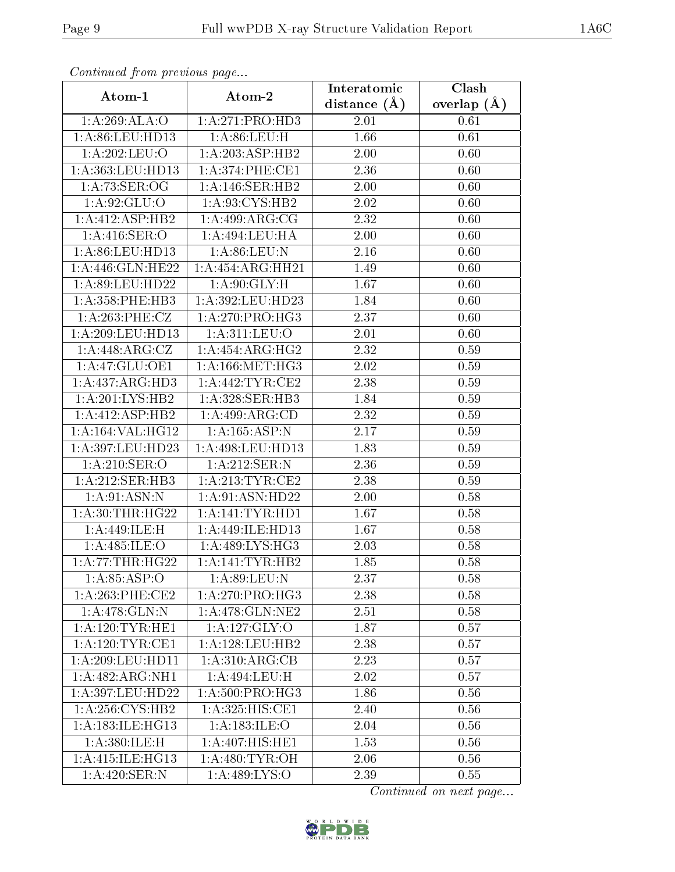| Continuaca from previous page |                             | Interatomic    | Clash         |  |
|-------------------------------|-----------------------------|----------------|---------------|--|
| Atom-1                        | Atom-2                      | distance $(A)$ | overlap $(A)$ |  |
| 1:A:269:ALA:O                 | 1:A:271:PRO:HD3             | 2.01           | 0.61          |  |
| 1: A:86: LEU:HD13             | 1: A:86: LEU:H              | 1.66           | 0.61          |  |
| 1:A:202:LEU:O                 | 1:A:203:ASP:HB2             | 2.00           | 0.60          |  |
| 1: A: 363: LEU: HD13          | 1: A:374: PHE:CE1           | 2.36           | 0.60          |  |
| 1: A:73: SER:OG               | 1:A:146:SER:HB2             | 2.00           | 0.60          |  |
| 1:A:92:GLU:O                  | 1:A:93:CYS:HB2              | 2.02           | 0.60          |  |
| 1:A:412:ASP:HB2               | 1:A:499:ARG:CG              | 2.32           | 0.60          |  |
| 1: A:416: SER:O               | 1:A:494:LEU:HA              | 2.00           | 0.60          |  |
| 1:A:86:LEU:HD13               | 1:A:86:LEU:N                | 2.16           | 0.60          |  |
| 1:A:446:GLN:HE22              | 1:A:454:ARG:HH21            | 1.49           | 0.60          |  |
| 1:A:89:LEU:HD22               | 1: A:90: GLY:H              | 1.67           | 0.60          |  |
| 1: A: 358: PHE: HB3           | 1: A:392: LEU: HD23         | 1.84           | 0.60          |  |
| 1: A:263:PHE:CZ               | 1:A:270:PRO:HG3             | 2.37           | 0.60          |  |
| 1: A:209:LEU:HD13             | 1:A:311:LEU:O               | 2.01           | 0.60          |  |
| 1:A:448:ARG:CZ                | 1:A:454:ARG:HG2             | 2.32           | 0.59          |  |
| 1:A:47:GLU:OE1                | 1: A: 166: MET:HG3          | 2.02           | 0.59          |  |
| 1:A:437:ARG:HD3               | 1:A:442:TYR:CE2             | 2.38           | 0.59          |  |
| 1: A:201:LYS:HB2              | 1:A:328:SER:HB3             | 1.84           | 0.59          |  |
| $1:A:412: \overline{ASP:HB2}$ | $1:A:499:A\overline{RG:CD}$ | 2.32           | 0.59          |  |
| 1:A:164:VAL:HG12              | 1:A:165:ASP:N               | 2.17           | 0.59          |  |
| 1:A:397:LEU:HD23              | 1:A:498:LEU:HD13            | 1.83           | 0.59          |  |
| 1: A:210: SER:O               | 1:A:212:SER:N               | 2.36           | 0.59          |  |
| 1: A:212: SER:HB3             | 1: A:213:TYR:CE2            | 2.38           | 0.59          |  |
| 1: A:91: ASN: N               | 1:A:91:ASN:HD22             | 2.00           | 0.58          |  |
| 1: A:30:THR:HG22              | 1:A:141:TYR:HDI             | 1.67           | 0.58          |  |
| 1:A:449:ILE:H                 | 1:A:449:ILE:HD13            | 1.67           | 0.58          |  |
| 1: A:485: ILE: O              | 1: A:489: LYS: HG3          | 2.03           | 0.58          |  |
| 1:A:77:THR:HG22               | 1: A:141:TYR:HB2            | 1.85           | 0.58          |  |
| 1: A:85:ASP:O                 | 1: A:89: LEU: N             | 2.37           | 0.58          |  |
| 1: A:263:PHE:CE2              | 1:A:270:PRO:HG3             | 2.38           | 0.58          |  |
| 1: A:478: GLN:N               | 1:A:478:GLN:NE2             | 2.51           | 0.58          |  |
| 1: A:120: TYR: HE1            | 1:A:127:GLY:O               | 1.87           | 0.57          |  |
| 1: A:120: TYR: CE1            | 1:A:128:LEU:HB2             | 2.38           | 0.57          |  |
| 1:A:209:LEU:HD11              | 1: A:310: ARG: CB           | 2.23           | 0.57          |  |
| 1:A:482:ARG:NH1               | 1:A:494:LEU:H               | 2.02           | 0.57          |  |
| 1:A:397:LEU:HD22              | 1: A:500: PRO:HG3           | 1.86           | 0.56          |  |
| 1: A:256: CYS:HB2             | 1:A:325:HIS:CE1             | 2.40           | 0.56          |  |
| 1: A: 183: ILE: HG13          | 1: A: 183: ILE: O           | 2.04           | 0.56          |  |
| 1: A:380: ILE:H               | 1:A:407:HIS:HE1             | 1.53           | 0.56          |  |
| 1: A:415: ILE: HG13           | 1: A:480: TYR:OH            | 2.06           | 0.56          |  |
| 1:A:420:SER:N                 | 1:A:489:LYS:O               | 2.39           | 0.55          |  |

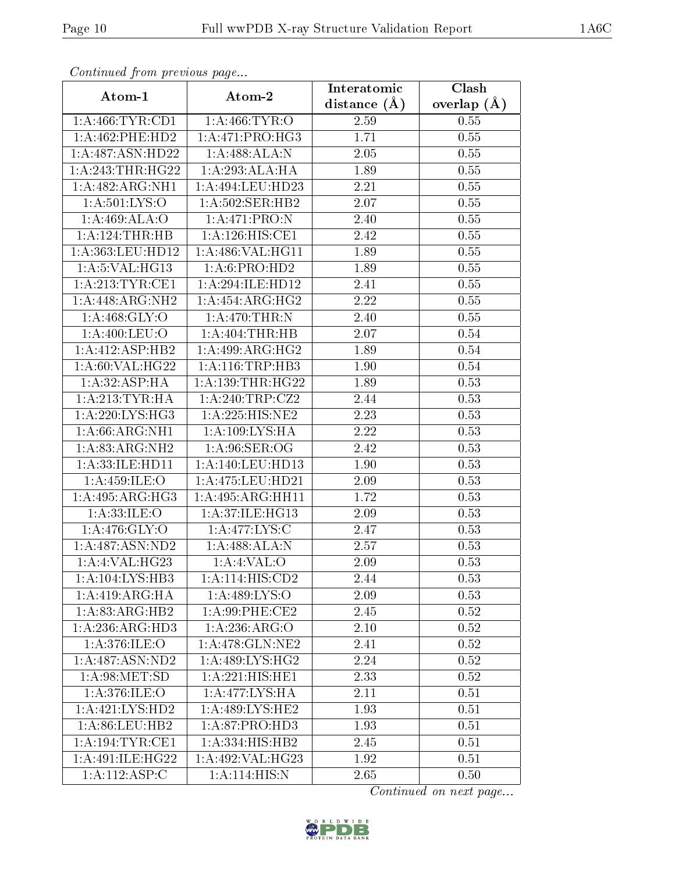| Communa from previous page   |                                     | Interatomic      | Clash           |  |
|------------------------------|-------------------------------------|------------------|-----------------|--|
| Atom-1                       | Atom-2                              | distance $(\AA)$ | overlap $(\AA)$ |  |
| 1: A: 466: TYR: CD1          | 1: A:466: TYR:O                     | 2.59             | 0.55            |  |
| $1: A:462:$ PHE:HD2          | 1:A:471:PRO:HG3                     | 1.71             | 0.55            |  |
| 1:A:487:ASN:HD22             | 1:A:488:ALA:N                       | $2.05\,$         | 0.55            |  |
| 1:A:243:THR:HG22             | 1:A:293:ALA:HA                      | 1.89             | 0.55            |  |
| 1:A:482:ARG:NH1              | 1: A:494:LEU:HD23                   | 2.21             | 0.55            |  |
| 1: A:501:LYS:O               | 1:A:502:SER:HB2                     | 2.07             | 0.55            |  |
| 1: A:469: ALA:O              | 1:A:471:PRO:N                       | 2.40             | 0.55            |  |
| 1:A:124:THR:HB               | 1: A:126: HIS: CE1                  | 2.42             | 0.55            |  |
| 1:A:363:LEU:HD12             | 1:A:486:VAL:HG11                    | 1.89             | 0.55            |  |
| 1:A:5:VAL:HG13               | 1:A:6:PRO:HD2                       | 1.89             | 0.55            |  |
| 1:A:213:TYR:CE1              | 1:A:294:ILE:HD12                    | 2.41             | 0.55            |  |
| 1:A:448:ARG:NH2              | 1:A:454:ARG:HG2                     | 2.22             | 0.55            |  |
| 1: A:468: GLY:O              | 1:A:470:THR:N                       | 2.40             | 0.55            |  |
| 1:A:400:LEU:O                | 1: A:404:THR:HB                     | 2.07             | $0.54\,$        |  |
| 1:A:412:ASP:HB2              | 1:A:499:ARG:HG2                     | 1.89             | $0.54\,$        |  |
| 1: A:60: VAL: HG22           | 1: A:116:TRP:HB3                    | 1.90             | 0.54            |  |
| 1:A:32:ASP:HA                | 1: A: 139: THR: HG22                | 1.89             | 0.53            |  |
| 1: A:213:TYR:HA              | $1: A:240:TRP: \overline{CZ2}$      | 2.44             | 0.53            |  |
| $1:\overline{A:220:LYS:HG3}$ | 1:A:225:HIS:NE2                     | 2.23             | 0.53            |  |
| 1: A:66: ARG:NH1             | 1: A: 109: LYS: HA                  | 2.22             | 0.53            |  |
| 1:A:83:ARG:NH2               | 1: A:96: SER:OG                     | 2.42             | 0.53            |  |
| 1: A: 33: ILE: HD11          | 1: A:140:LEU:HD13                   | 1.90             | 0.53            |  |
| 1: A:459: ILE:O              | 1:A:475:LEU:HD21                    | 2.09             | 0.53            |  |
| 1:A:495:ARG:HG3              | 1: A:495: ARG: HH11                 | 1.72             | 0.53            |  |
| 1: A:33: ILE: O              | 1:A:37:ILE:HG13                     | 2.09             | 0.53            |  |
| 1:A:476:GLY:O                | 1: A:477: LYS:C                     | 2.47             | 0.53            |  |
| 1: A:487: ASN:ND2            | 1: A:488:ALA:N                      | 2.57             | 0.53            |  |
| 1: A:4: VAL:HG23             | 1: A:4: VAL:O                       | 2.09             | 0.53            |  |
| 1:A:104:LYS:HB3              | 1: A:114: HIS: CD2                  | 2.44             | 0.53            |  |
| 1: A:419: ARG: HA            | 1:A:489:LYS:O                       | 2.09             | 0.53            |  |
| 1: A:83: ARG:HB2             | $1: A:99:$ PHE:CE2                  | 2.45             | 0.52            |  |
| 1:A:236:ARG:HD3              | 1:A:236:ARG:O                       | 2.10             | 0.52            |  |
| 1: A:376: ILE: O             | $1:A:478:GLN:\overline{\text{NE2}}$ | 2.41             | 0.52            |  |
| 1: A:487: ASN:ND2            | 1: A:489: LYS: HG2                  | 2.24             | 0.52            |  |
| 1: A:98: MET:SD              | 1:A:221:HIS:HE1                     | 2.33             | 0.52            |  |
| 1:A:376:ILE:O                | 1: A:477: LYS: HA                   | 2.11             | 0.51            |  |
| 1:A:421:LYS:HD2              | 1:A:489:LYS:HE2                     | 1.93             | 0.51            |  |
| 1:A:86:LEU:HB2               | 1:A:87:PRO:HD3                      | 1.93             | 0.51            |  |
| 1: A:194:TYR:CE1             | 1:A:334:HIS:HB2                     | 2.45             | 0.51            |  |
| 1:A:491:ILE:HG22             | 1:A:492:VAL:HG23                    | 1.92             | 0.51            |  |
| 1:A:112:ASP:C                | 1: A:114: HIS:N                     | 2.65             | 0.50            |  |

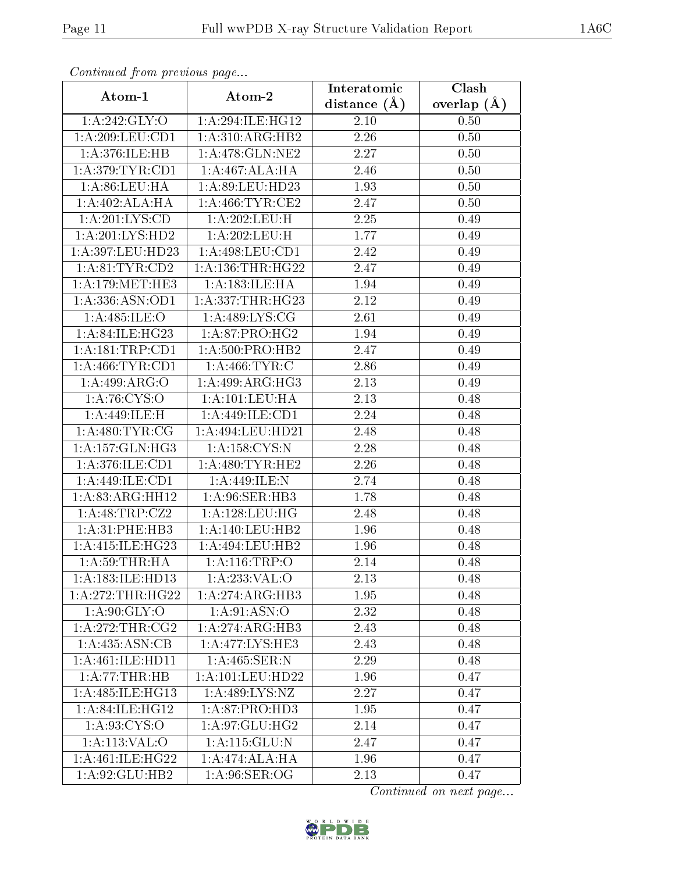| Continuea from previous page | Interatomic                  | Clash             |               |
|------------------------------|------------------------------|-------------------|---------------|
| Atom-1                       | Atom-2                       | distance $(A)$    | overlap $(A)$ |
| 1:A:242:GLY:O                | 1:A:294:ILE:HG12             | 2.10              | 0.50          |
| 1:A:209:LEU:CD1              | 1: A:310:ARG:HB2             | $\overline{2.26}$ | 0.50          |
| 1:A:376:ILE:HB               | 1:A:478:GLN:NE2              | 2.27              | 0.50          |
| 1: A:379:TYR:CD1             | 1:A:467:ALA:HA               | 2.46              | 0.50          |
| 1: A:86: LEU: HA             | 1:A:89:LEU:HD23              | 1.93              | 0.50          |
| 1:A:402:ALA:HA               | 1: A:466:TYR:CE2             | 2.47              | 0.50          |
| 1:A:201:LYS:CD               | 1:A:202:LEU:H                | 2.25              | 0.49          |
| 1:A:201:LYS:HD2              | 1:A:202:LEU:H                | 1.77              | 0.49          |
| 1:A:397:LEU:HD23             | 1: A:498:LEU:CD1             | 2.42              | 0.49          |
| 1: A:81:TYR:CD2              | 1: A: 136: THR: HG22         | 2.47              | 0.49          |
| 1: A:179:MET:HE3             | 1:A:183:ILE:HA               | 1.94              | 0.49          |
| 1: A: 336: ASN: OD1          | 1:A:337:THR:HG23             | 2.12              | 0.49          |
| 1:A:485:ILE:O                | 1: A:489: LYS: CG            | 2.61              | 0.49          |
| 1: A:84: ILE:HG23            | 1: A:87: PRO:HG2             | 1.94              | 0.49          |
| 1: A: 181: TRP: CD1          | 1: A:500:PRO:HB2             | 2.47              | 0.49          |
| 1: A:466:TYR:CD1             | 1: A:466: TYR: C             | 2.86              | 0.49          |
| 1:A:499:ARG:O                | 1:A:499:ARG:HG3              | 2.13              | 0.49          |
| 1: A:76: CYS:O               | 1: A: 101: LEU: HA           | 2.13              | 0.48          |
| 1:A:449:ILE:H                | $1:A:\overline{449:ILE:CD1}$ | 2.24              | 0.48          |
| 1: A:480: TYR: CG            | 1:A:494:LEU:HD21             | 2.48              | 0.48          |
| 1: A: 157: GLN: HG3          | 1: A: 158: CYS:N             | 2.28              | 0.48          |
| 1:A:376:ILE:CD1              | 1: A:480: TYR: HE2           | 2.26              | 0.48          |
| 1:A:449:ILE:CD1              | 1:A:449:ILE:N                | 2.74              | 0.48          |
| 1:A:83:ARG:HH12              | 1:A:96:SER:HB3               | 1.78              | 0.48          |
| 1:A:48:TRP:CZ2               | 1: A: 128: LEU: HG           | 2.48              | 0.48          |
| 1:A:31:PHE:HB3               | 1: A:140: LEU: HB2           | 1.96              | 0.48          |
| 1:A:415:ILE:HG23             | 1:A:494:LEU:HB2              | 1.96              | 0.48          |
| 1: A:59:THR:HA               | 1:A:116:TRP:O                | 2.14              | 0.48          |
| 1:A:183:ILE:HD13             | 1:A:233:VAL:O                | 2.13              | 0.48          |
| 1:A:272:THR:HG22             | 1:A:274:ARG:HB3              | 1.95              | 0.48          |
| 1: A:90: GLY:O               | 1:A:91:ASN:O                 | 2.32              | 0.48          |
| 1: A:272:THR:CG2             | 1:A:274:ARG:HB3              | 2.43              | 0.48          |
| 1: A:435: ASN:CB             | 1:A:477:LYS:HE3              | 2.43              | 0.48          |
| 1:A:461:ILE:HD11             | 1: A: 465: SER: N            | 2.29              | 0.48          |
| 1:A:77:THR:HB                | $1: A: 101:$ LEU:HD22        | 1.96              | 0.47          |
| 1: A:485: ILE: HG13          | 1: A:489:LYS:NZ              | 2.27              | 0.47          |
| 1: A:84: ILE: HG12           | 1: A:87: PRO:HD3             | 1.95              | 0.47          |
| 1: A: 93: CYS:O              | 1:A:97:GLU:HG2               | 2.14              | 0.47          |
| 1: A: 113: VAL: O            | 1: A: 115: GLU: N            | 2.47              | 0.47          |
| 1: A:461: ILE:HG22           | 1:A:474:ALA:HA               | 1.96              | 0.47          |
| 1:A:92:GLU:HB2               | 1: A:96: SER:OG              | 2.13              | 0.47          |

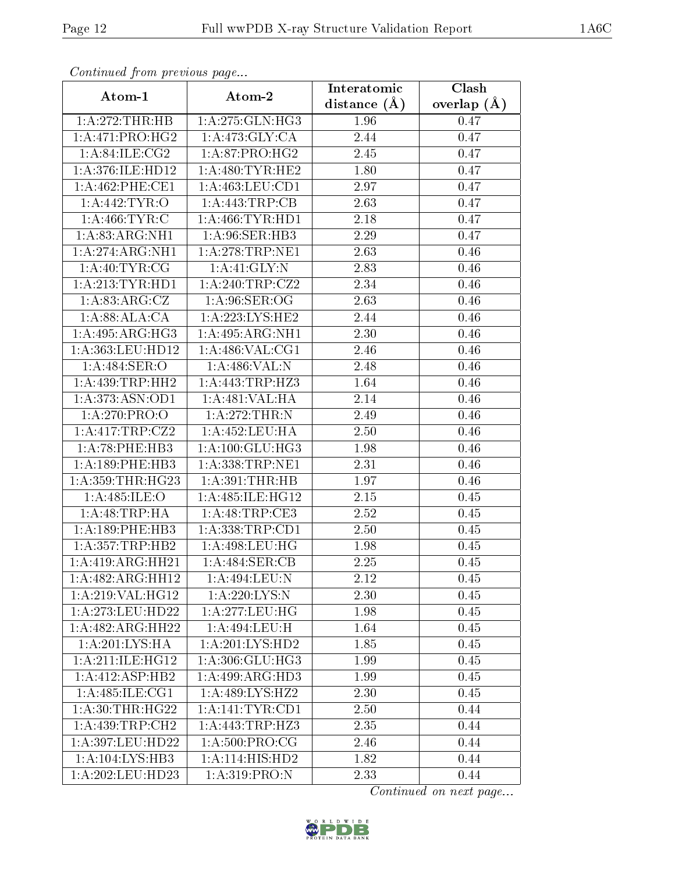| Commaca jibin previous page             |                                     | Interatomic       | $\overline{\text{Clash}}$ |  |
|-----------------------------------------|-------------------------------------|-------------------|---------------------------|--|
| Atom-1                                  | Atom-2                              | distance $(A)$    | overlap $(A)$             |  |
| 1:A:272:THR:HB                          | 1:A:275:GLN:HG3                     | 1.96              | 0.47                      |  |
| 1: A:471: PRO:HG2                       | 1: A:473: GLY: CA                   | 2.44              | 0.47                      |  |
| 1: A:84: ILE: CG2                       | 1: A:87: PRO:HG2                    | 2.45              | 0.47                      |  |
| 1:A:376:ILE:HD12                        | 1: A:480: TYR: HE2                  | 1.80              | 0.47                      |  |
| 1: A:462:PHE:CE1                        | 1: A: 463: LEU: CD1                 | 2.97              | 0.47                      |  |
| 1: A:442: TYR:O                         | 1:A:443:TRP:CB                      | 2.63              | 0.47                      |  |
| 1: A:466:TYR:C                          | 1: A:466:TYR:HD1                    | 2.18              | 0.47                      |  |
| 1: A:83: ARG:NH1                        | 1: A:96: SER:HB3                    | 2.29              | 0.47                      |  |
| 1:A:274:ARG:NH1                         | 1: A:278:TRP:NE1                    | 2.63              | 0.46                      |  |
| 1:A:40:TYR:CG                           | 1:A:41:GLY:N                        | 2.83              | 0.46                      |  |
| 1: A:213: TYR: HD1                      | 1: A:240:TRP: CZ2                   | 2.34              | 0.46                      |  |
| 1:A:83:ARG:CZ                           | $1: A:96: \overline{SER:OG}$        | 2.63              | 0.46                      |  |
| 1: A:88: ALA:CA                         | 1: A:223: LYS: HE2                  | 2.44              | 0.46                      |  |
| 1: A:495: ARG:HG3                       | 1: A:495: ARG:NH1                   | 2.30              | 0.46                      |  |
| 1:A:363:LEU:HD12                        | 1: A:486: VAL:CG1                   | 2.46              | 0.46                      |  |
| $1: A:484:$ SER:O                       | 1:A:486:VAL:N                       | 2.48              | 0.46                      |  |
| 1: A: 439: TRP: HH2                     | 1:A:443:TRP:HZ3                     | 1.64              | 0.46                      |  |
| 1:A:373:ASN:OD1                         | 1: A:481: VAL:HA                    | 2.14              | 0.46                      |  |
| 1: A:270: PRO:O                         | 1:A:272:THR:N                       | 2.49              | 0.46                      |  |
| 1:A:417:TRP:CZ2                         | 1: A: 452: LEU: HA                  | 2.50              | 0.46                      |  |
| 1: A:78:PHE:HB3                         | 1: A: 100: GLU: HG3                 | 1.98              | 0.46                      |  |
| 1: A: 189: PHE: HB3                     | 1: A: 338: TRP: NE1                 | 2.31              | 0.46                      |  |
| 1:A:359:THR:HG23                        | 1: A:391:THR:HB                     | 1.97              | 0.46                      |  |
| 1: A:485: ILE: O                        | 1: A:485: ILE: HG12                 | 2.15              | 0.45                      |  |
| 1:A:48:TRP:HA                           | $1:$ A:48:TRP:CE3                   | 2.52              | 0.45                      |  |
| 1: A: 189: PHE: HB3                     | 1: A: 338: TRP: CD1                 | $\overline{2}.50$ | 0.45                      |  |
| 1:A:357:TRP:HB2                         | 1: A:498:LEU:HG                     | 1.98              | 0.45                      |  |
| 1:A:419:ARG:HH21                        | 1: A:484: SER: CB                   | 2.25              | 0.45                      |  |
| 1:A:482:ARG:HH12                        | 1:A:494:LEU:N                       | 2.12              | 0.45                      |  |
| 1:A:219:VAL:HG12                        | 1:A:220:LYS:N                       | 2.30              | 0.45                      |  |
| 1: A:273:LEU:HD22                       | 1: A:277:LEU:HG                     | 1.98              | 0.45                      |  |
| 1:A:482:ARG:HH22                        | 1:A:494:LEU:H                       | 1.64              | 0.45                      |  |
| 1:A:201:L <sub>Y</sub> S:H <sub>A</sub> | 1:A:201:LYS:HD2                     | 1.85              | 0.45                      |  |
| 1: A:211: ILE: HG12                     | 1:A:306:GLU:HG3                     | 1.99              | 0.45                      |  |
| 1:A:412:ASP:HB2                         | 1:A:499:ARG:HD3                     | 1.99              | 0.45                      |  |
| 1:A:485:ILE:CG1                         | 1:A:489:LYS:HZ2                     | 2.30              | 0.45                      |  |
| 1: A:30:THR:HG22                        | $1:$ A:141:TYR:CD1                  | 2.50              | 0.44                      |  |
| 1: A:439:TRP:CH2                        | 1:A:443:TRP:HZ3                     | 2.35              | 0.44                      |  |
| 1:A:397:LEU:HD22                        | 1: A:500:PRO:CG                     | 2.46              | 0.44                      |  |
| 1:A:104:LYS:HB3                         | $1:A:114:\overline{\text{HIS:HD2}}$ | 1.82              | 0.44                      |  |
| 1:A:202:LEU:HD23                        | 1:A:319:PRO:N                       | 2.33              | 0.44                      |  |

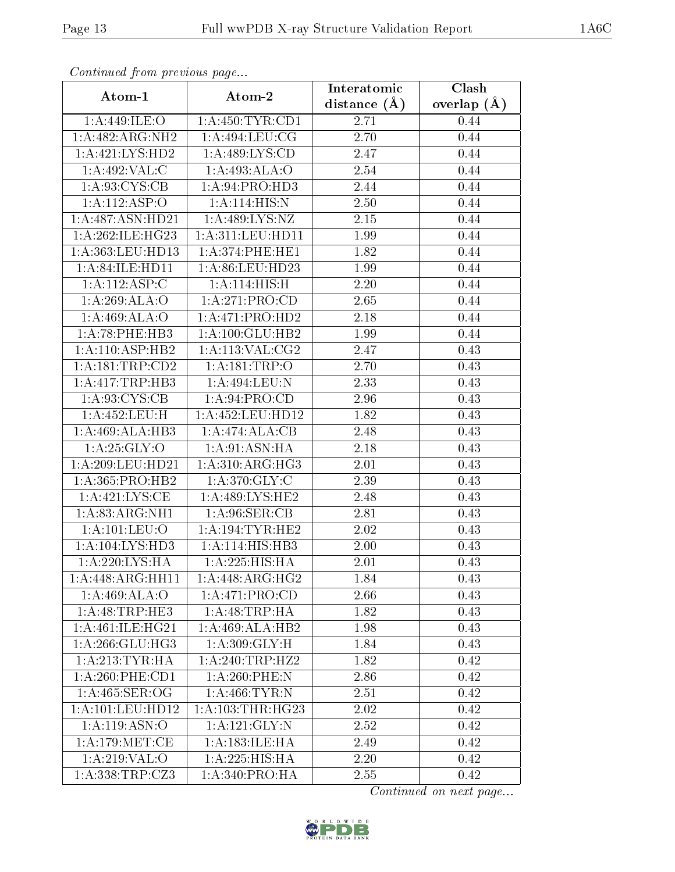| сонинией јтот ртеvиоиз раде |                              | Clash<br>Interatomic |               |  |  |
|-----------------------------|------------------------------|----------------------|---------------|--|--|
| Atom-1                      | Atom-2                       | distance $(A)$       | overlap $(A)$ |  |  |
| 1:A:449:ILE:O               | 1: A: 450: TYR: CD1          | 2.71                 | 0.44          |  |  |
| 1:A:482:ARG:NH2             | 1: A:494: LEU: CG            | 2.70                 | 0.44          |  |  |
| 1:A:421:LYS:HD2             | 1: A:489: LYS:CD             | 2.47                 | 0.44          |  |  |
| 1:A:492:VAL:CC              | 1:A:493:ALA:O                | 2.54                 | 0.44          |  |  |
| 1: A:93: CYS:CB             | 1:A:94:PRO:HD3               | 2.44                 | 0.44          |  |  |
| 1:A:112:ASP:O               | 1:A:114:HIS:N                | 2.50                 | 0.44          |  |  |
| 1:A:487:ASN:HD21            | 1:A:489:LYS:NZ               | 2.15                 | 0.44          |  |  |
| 1:A:262:ILE:HG23            | 1:A:311:LEU:HD11             | 1.99                 | 0.44          |  |  |
| 1:A:363:LEU:HD13            | 1: A:374: PHE: HE1           | 1.82                 | 0.44          |  |  |
| 1: A:84: ILE: HDI1          | 1:A:86:LEU:HD23              | 1.99                 | 0.44          |  |  |
| 1:A:112:ASP:C               | 1:A:114:HIS:H                | 2.20                 | 0.44          |  |  |
| 1:A:269:ALA:O               | 1:A:271:PRO:CD               | 2.65                 | 0.44          |  |  |
| 1:A:469:ALA:O               | 1:A:471:PRO:HD2              | 2.18                 | 0.44          |  |  |
| 1: A:78:PHE:HB3             | 1: A: 100: GLU: HB2          | 1.99                 | 0.44          |  |  |
| 1: A:110: ASP:HB2           | 1: A:113: VAL: CG2           | 2.47                 | 0.43          |  |  |
| 1: A: 181: TRP: CD2         | 1: A:181:TRP:O               | 2.70                 | 0.43          |  |  |
| 1:A:417:TRP:HB3             | 1:A:494:LEU:N                | 2.33                 | 0.43          |  |  |
| 1: A:93: CYS:CB             | 1: A:94: PRO:CD              | 2.96                 | 0.43          |  |  |
| 1:A:452:LEU:H               | 1:A:452:LEU:HD12             | 1.82                 | 0.43          |  |  |
| 1:A:469:ALA:HB3             | 1:A:474:ALA:CB               | 2.48                 | 0.43          |  |  |
| 1: A:25: GLY:O              | 1:A:91:ASN:HA                | 2.18                 | 0.43          |  |  |
| 1: A:209:LEU:HD21           | $1:A:310:A\overline{RG:HG3}$ | 2.01                 | 0.43          |  |  |
| 1: A: 365: PRO: HB2         | 1: A:370: GLY: C             | 2.39                 | 0.43          |  |  |
| 1:A:421:LYS:CE              | 1:A:489:LYS:HE2              | 2.48                 | 0.43          |  |  |
| 1:A:83:ARG:NH1              | 1: A:96: SER: CB             | 2.81                 | 0.43          |  |  |
| 1:A:101:LEU:O               | 1: A:194: TYR:HE2            | 2.02                 | 0.43          |  |  |
| 1: A:104: LYS: HD3          | 1:A:114:HIS:HB3              | 2.00                 | 0.43          |  |  |
| 1:A:220:LYS:HA              | 1:A:225:HIS:HA               | 2.01                 | 0.43          |  |  |
| 1:A:448:ARG:HH11            | 1:A:448:ARG:HG2              | 1.84                 | 0.43          |  |  |
| 1:A:469:ALA:O               | 1: A:471: PRO:CD             | 2.66                 | 0.43          |  |  |
| 1:A:48:TRP:HE3              | 1: A:48:TRP:HA               | 1.82                 | 0.43          |  |  |
| 1: A:461: ILE: HG21         | 1:A:469:ALA:HB2              | 1.98                 | 0.43          |  |  |
| 1: A:266: GLU:HG3           | 1: A:309: GLY: H             | 1.84                 | 0.43          |  |  |
| 1: A:213:TYR:HA             | 1:A:240:TRP:HZ2              | 1.82                 | 0.42          |  |  |
| 1:A:260:PHE:CD1             | 1:A:260:PHE:N                | 2.86                 | 0.42          |  |  |
| 1: A:465: SER:OG            | 1:A:466:TYR:N                | 2.51                 | 0.42          |  |  |
| 1: A: 101: LEU: HD12        | 1: A:103:THR:HG23            | 2.02                 | 0.42          |  |  |
| 1:A:119:ASN:O               | 1:A:121:GLY:N                | 2.52                 | 0.42          |  |  |
| 1: A:179: MET:CE            | 1:A:183:ILE:HA               | 2.49                 | 0.42          |  |  |
| 1:A:219:VAL:O               | $1:A:225:H\overline{IS:HA}$  | 2.20                 | 0.42          |  |  |
| 1:A:338:TRP:CZ3             | 1:A:340:PRO:HA               | 2.55                 | 0.42          |  |  |

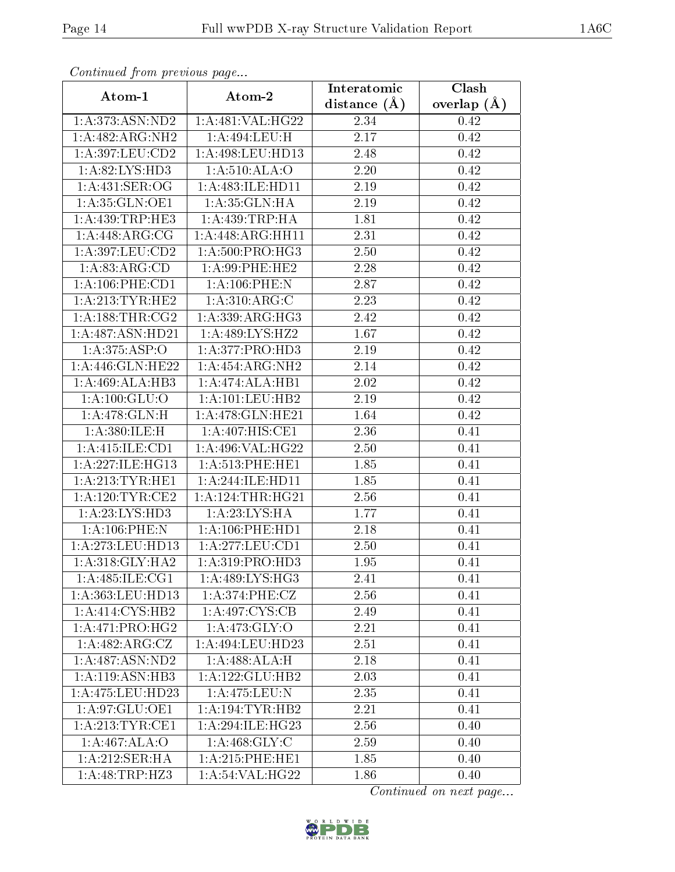| Commaca jibin previous page   |                               | Interatomic       | Clash         |
|-------------------------------|-------------------------------|-------------------|---------------|
| Atom-1                        | Atom-2                        | distance $(A)$    | overlap $(A)$ |
| 1:A:373:ASN:ND2               | 1:A:481:VAL:HG22              | 2.34              | 0.42          |
| 1:A:482:ARG:NH2               | 1:A:494:LEU:H                 | 2.17              | 0.42          |
| 1: A:397:LEU:CD2              | 1:A:498:LEU:HD13              | 2.48              | 0.42          |
| 1: A:82: LYS: HD3             | 1: A:510: ALA:O               | 2.20              | 0.42          |
| 1:A:431:SER:OG                | 1:A:483:ILE:HD11              | 2.19              | 0.42          |
| 1:A:35:GLN:OE1                | 1: A:35: GLN: HA              | $2.19\,$          | 0.42          |
| 1: A: 439: TRP: HE3           | 1: A:439:TRP:HA               | 1.81              | 0.42          |
| 1: A:448: ARG: CG             | 1:A:448:ARG:HH11              | 2.31              | 0.42          |
| 1:A:397:LEU:CD2               | $1: A:500:PR\overline{O:HG3}$ | 2.50              | 0.42          |
| 1:A:83:ARG:CD                 | $1: A:99:$ PHE:HE2            | 2.28              | 0.42          |
| 1: A: 106: PHE: CD1           | $1: A:106:$ PHE:N             | 2.87              | 0.42          |
| 1:A:213:TYR:HE2               | 1:A:310:ARG:C                 | 2.23              | 0.42          |
| 1: A: 188: THR: CG2           | 1: A: 339: ARG: HG3           | 2.42              | 0.42          |
| 1:A:487:ASN:HD21              | 1: A:489: LYS: HZ2            | 1.67              | 0.42          |
| 1:A:375:ASP:O                 | 1:A:377:PRO:HD3               | 2.19              | 0.42          |
| 1:A:446:GLN:HE22              | 1:A:454:ARG:NH2               | $\overline{2.14}$ | 0.42          |
| 1:A:469:ALA:HB3               | 1:A:474:ALA:HB1               | 2.02              | 0.42          |
| 1: A: 100: GLU:O              | 1: A: 101: LEU: HB2           | 2.19              | 0.42          |
| 1: A:478: GLN:H               | 1:A:478:GLN:HE21              | 1.64              | 0.42          |
| 1:A:380:ILE:H                 | 1:A:407:HIS:CE1               | 2.36              | 0.41          |
| 1:A:415:ILE:CD1               | 1:A:496:VAL:HG22              | 2.50              | 0.41          |
| 1: A:227: ILE: HG13           | 1: A:513:PHE:HE1              | 1.85              | 0.41          |
| 1: A:213:TYR:HE1              | 1:A:244:ILE:HD11              | 1.85              | 0.41          |
| 1: A:120:TYR:CE2              | 1: A:124:THR:HG21             | 2.56              | 0.41          |
| 1: A:23: LYS: HD3             | 1:A:23:LYS:HA                 | 1.77              | 0.41          |
| $1: A:106:$ PHE:N             | 1: A: 106: PHE: HD1           | $\overline{2}.18$ | 0.41          |
| 1:A:273:LEU:HD13              | 1: A:277:LEU:CD1              | 2.50              | 0.41          |
| 1: A:318: GLY:HA2             | 1: A:319: PRO:HD3             | 1.95              | 0.41          |
| $1:A:485:ILE: \overline{CG1}$ | 1:A:489:LYS:HG3               | 2.41              | 0.41          |
| 1: A: 363: LEU: HD13          | 1: A:374:PHE:CZ               | 2.56              | 0.41          |
| 1:A:414:CYS:HB2               | 1: A:497:CYS:CB               | 2.49              | 0.41          |
| 1: A:471: PRO:HG2             | 1: A:473: GLY:O               | 2.21              | 0.41          |
| 1:A:482:ARG:CZ                | 1: A:494:LEU:HD23             | 2.51              | 0.41          |
| 1:A:487:ASN:ND2               | 1:A:488:ALA:H                 | 2.18              | 0.41          |
| 1: A: 119: ASN: HB3           | 1:A:122:GLU:HB2               | 2.03              | 0.41          |
| 1:A:475:LEU:HD23              | 1:A:475:LEU:N                 | 2.35              | 0.41          |
| 1:A:97:GLU:OE1                | 1: A: 194: TYR: HB2           | 2.21              | 0.41          |
| 1: A:213:TYR:CE1              | 1:A:294:ILE:HG23              | 2.56              | 0.40          |
| 1:A:467:ALA:O                 | 1: A:468: GLY: C              | 2.59              | 0.40          |
| 1:A:212:SER:HA                | 1: A:215:PHE:HE1              | 1.85              | 0.40          |
| 1:A:48:TRP:HZ3                | 1:A:54:VAL:HG22               | 1.86              | 0.40          |

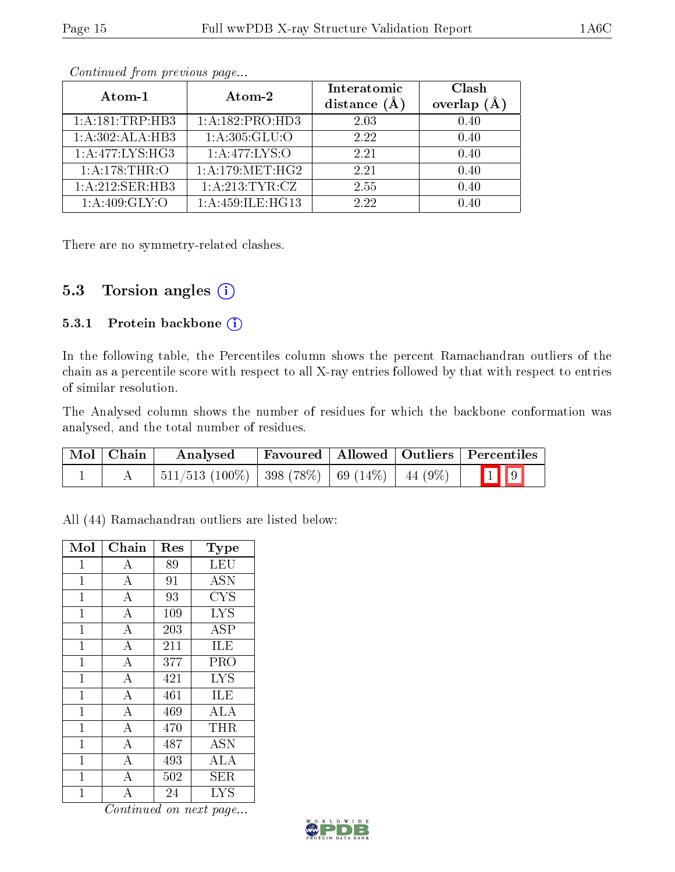| Atom-1                              | Atom-2              | Interatomic<br>distance $(A)$ | Clash<br>overlap $(A)$ |
|-------------------------------------|---------------------|-------------------------------|------------------------|
| 1: A: 181: TRP: HB3                 | 1: A: 182: PRO: HD3 | 2.03                          | 0.40                   |
| 1:A:302:ALA:HB3                     | 1: A: 305: GLU:O    | 2.22                          | 0.40                   |
| 1:A:477:LYS:HG3                     | 1: A:477: LYS:O     | 2.21                          | 0.40                   |
| 1: A:178:THR:O                      | 1: A:179:MET:HG2    | 2.21                          | 0.40                   |
| $1:A:212:\overline{\text{SER:HB3}}$ | 1:A:213:TTTR:CZ     | 2.55                          | 0.40                   |
| 1: A:409: GLY:O                     | 1:A:459:ILE:HG13    | 2.22                          | 0.40                   |

There are no symmetry-related clashes.

### 5.3 Torsion angles (i)

#### 5.3.1 Protein backbone (i)

In the following table, the Percentiles column shows the percent Ramachandran outliers of the chain as a percentile score with respect to all X-ray entries followed by that with respect to entries of similar resolution.

The Analysed column shows the number of residues for which the backbone conformation was analysed, and the total number of residues.

| Mol   Chain | Analysed                                                     |  | Favoured   Allowed   Outliers   Percentiles |
|-------------|--------------------------------------------------------------|--|---------------------------------------------|
|             | $\mid$ 511/513 (100%)   398 (78%)   69 (14%)   44 (9%)   1 9 |  |                                             |

All (44) Ramachandran outliers are listed below:

| Mol            | Chain              | Res | <b>Type</b> |
|----------------|--------------------|-----|-------------|
| $\mathbf{1}$   | $\boldsymbol{A}$   | 89  | LEU         |
| $\mathbf{1}$   | $\bf{A}$           | 91  | ĀSN         |
| 1              | $\overline{A}$     | 93  | <b>CYS</b>  |
| $\mathbf{1}$   | $\bf{A}$           | 109 | <b>LYS</b>  |
| $\overline{1}$ | $\overline{A}$     | 203 | ĀSP         |
| $\mathbf 1$    | $\overline{A}$     | 211 | ILE         |
| $\mathbf{1}$   | $\bf{A}$           | 377 | PRO         |
| $\mathbf{1}$   | $\overline{A}$     | 421 | <b>LYS</b>  |
| 1              | $\overline{\rm A}$ | 461 | ILE         |
| $\mathbf 1$    | $\overline{\rm A}$ | 469 | ALA         |
| $\mathbf{1}$   | $\overline{A}$     | 470 | <b>THR</b>  |
| 1              | $\overline{\rm A}$ | 487 | <b>ASN</b>  |
| $\mathbf{1}$   | $\boldsymbol{A}$   | 493 | ALA         |
| $\mathbf 1$    | $\overline{A}$     | 502 | SER         |
| 1              | $\overline{\rm A}$ | 24  | <b>LYS</b>  |

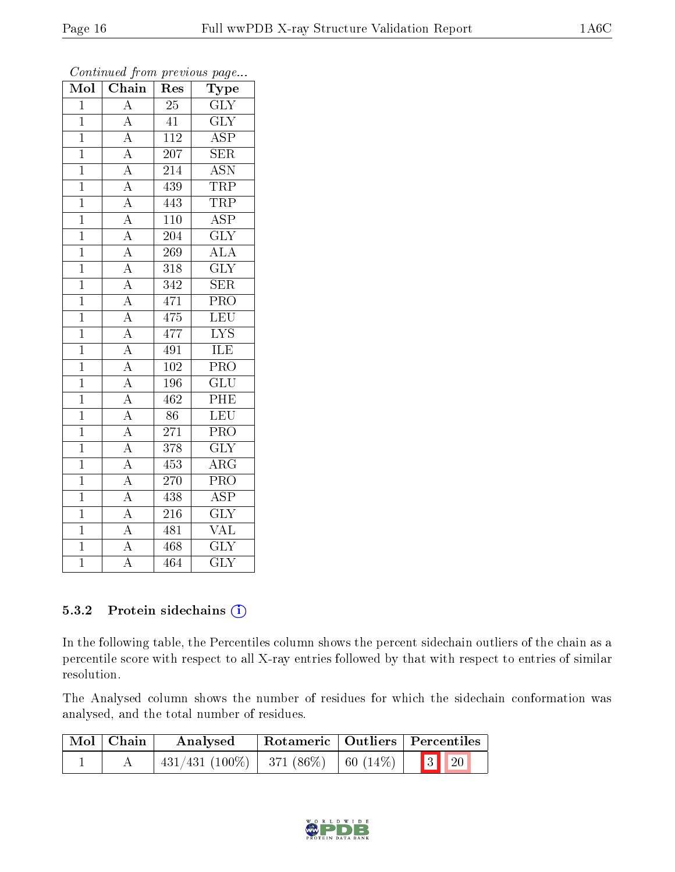| Mol            | Chain                                                                                                       | Res              | Type                      |
|----------------|-------------------------------------------------------------------------------------------------------------|------------------|---------------------------|
| $\overline{1}$ | $\overline{A}$                                                                                              | $\overline{25}$  | $\overline{\text{GLY}}$   |
| $\overline{1}$ | $\overline{A}$                                                                                              | 41               | $\overline{\text{GLY}}$   |
| $\overline{1}$ |                                                                                                             | $\overline{112}$ | $\overline{\text{ASP}}$   |
| $\mathbf{1}$   | $\frac{\overline{A}}{\overline{A}}$                                                                         | 207              | $\overline{\text{SER}}$   |
| $\overline{1}$ | $\frac{\overline{A}}{\overline{A}}$                                                                         | $\overline{214}$ | $\overline{\text{ASN}}$   |
| $\mathbf{1}$   |                                                                                                             | 439              | <b>TRP</b>                |
| $\mathbf{1}$   |                                                                                                             | 443              | TRP                       |
| $\mathbf{1}$   |                                                                                                             | 110              | <b>ASP</b>                |
| $\mathbf{1}$   |                                                                                                             | 204              | $\overline{\text{GLY}}$   |
| $\overline{1}$ | $\frac{\overline{A}}{\overline{A}}$ $\frac{\overline{A}}{\overline{A}}$ $\frac{\overline{A}}{\overline{A}}$ | 269              | <b>ALA</b>                |
| $\overline{1}$ |                                                                                                             | $\overline{318}$ | $\overline{\text{GLY}}$   |
| $\mathbf{1}$   |                                                                                                             | 342              | $\overline{\text{SER}}$   |
| $\mathbf{1}$   |                                                                                                             | 471              | $\overline{\text{PRO}}$   |
| $\overline{1}$ | $\frac{\overline{A}}{\overline{A}}$                                                                         | 475              | LEU                       |
| $\overline{1}$ |                                                                                                             | 477              | $\overline{\text{LYS}}$   |
| $\mathbf{1}$   | $\overline{A}$                                                                                              | 491              | ILE                       |
| $\overline{1}$ |                                                                                                             | $\overline{102}$ | $\overline{\text{PRO}}$   |
| $\overline{1}$ | $\frac{\overline{A}}{\overline{A}}$                                                                         | 196              | $\overline{\text{GLU}}$   |
| $\overline{1}$ |                                                                                                             | 462              | PHE                       |
| $\mathbf{1}$   | $\overline{A}$                                                                                              | 86               | LEU                       |
| $\overline{1}$ | $\overline{A}$                                                                                              | 271              | $\overline{\text{PRO}}$   |
| $\overline{1}$ | $\overline{A}$                                                                                              | 378              | $\overline{\text{GLY}}$   |
| $\overline{1}$ | $\overline{A}$                                                                                              | 453              | $\overline{\rm{ARG}}$     |
| $\mathbf{1}$   | $\overline{A}$                                                                                              | $\overline{270}$ | PRO                       |
| $\overline{1}$ | $\frac{\overline{A}}{\overline{A}}$                                                                         | 438              | $\overline{\text{ASP}}$   |
| $\mathbf{1}$   |                                                                                                             | 216              | $\overline{\text{GLY}}$   |
| $\overline{1}$ | $\overline{A}$                                                                                              | 481              | $\overline{\text{VAL}}$   |
| $\mathbf{1}$   | $\overline{A}$                                                                                              | 468              | $\overline{\text{GLY}}$   |
| $\overline{1}$ | $\overline{\rm A}$                                                                                          | 464              | $\overline{\mathrm{GLY}}$ |

#### 5.3.2 Protein sidechains (i)

In the following table, the Percentiles column shows the percent sidechain outliers of the chain as a percentile score with respect to all X-ray entries followed by that with respect to entries of similar resolution.

The Analysed column shows the number of residues for which the sidechain conformation was analysed, and the total number of residues.

| Mol   Chain | Analysed                                   |  | Rotameric   Outliers   Percentiles |  |
|-------------|--------------------------------------------|--|------------------------------------|--|
|             | $431/431$ (100\%)   371 (86\%)   60 (14\%) |  | $\boxed{3}$ $\boxed{20}$           |  |

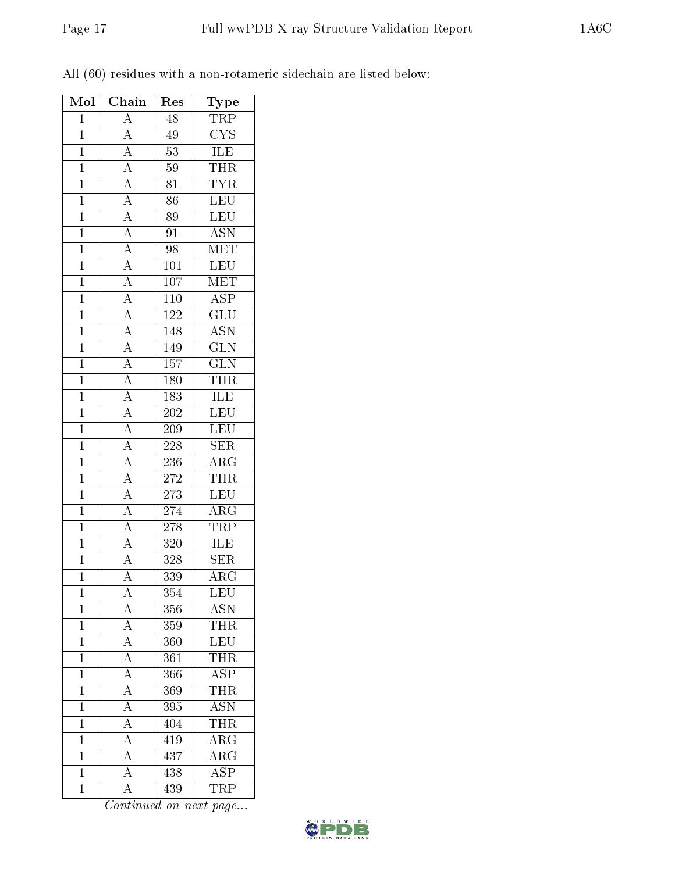|  |  |  | All (60) residues with a non-rotameric sidechain are listed below: |  |  |
|--|--|--|--------------------------------------------------------------------|--|--|
|  |  |  |                                                                    |  |  |

| Mol            | Chain                                                                                                                                                                                                                                                                                                                                        | Res              | <b>Type</b>             |
|----------------|----------------------------------------------------------------------------------------------------------------------------------------------------------------------------------------------------------------------------------------------------------------------------------------------------------------------------------------------|------------------|-------------------------|
| $\mathbf{1}$   | $\overline{A}$                                                                                                                                                                                                                                                                                                                               | 48               | $\overline{\text{TRP}}$ |
| $\mathbf{1}$   | $\frac{\overline{A}}{\overline{A}}$                                                                                                                                                                                                                                                                                                          | 49               | CYS                     |
| $\overline{1}$ |                                                                                                                                                                                                                                                                                                                                              | $\overline{53}$  | <b>ILE</b>              |
| $\mathbf{1}$   |                                                                                                                                                                                                                                                                                                                                              | $59\,$           | <b>THR</b>              |
| $\overline{1}$ |                                                                                                                                                                                                                                                                                                                                              | 81               | <b>TYR</b>              |
| $\overline{1}$ |                                                                                                                                                                                                                                                                                                                                              | $\overline{86}$  | LEU                     |
| $\mathbf{1}$   |                                                                                                                                                                                                                                                                                                                                              | 89               | LEU                     |
| $\overline{1}$ |                                                                                                                                                                                                                                                                                                                                              | $\overline{91}$  | $\overline{\text{ASN}}$ |
| $\mathbf{1}$   |                                                                                                                                                                                                                                                                                                                                              | 98               | $\overline{\text{MET}}$ |
| $\overline{1}$ |                                                                                                                                                                                                                                                                                                                                              | $\overline{101}$ | $\overline{\text{LEU}}$ |
| $\overline{1}$ |                                                                                                                                                                                                                                                                                                                                              | 107              | MET                     |
| $\mathbf{1}$   |                                                                                                                                                                                                                                                                                                                                              | 110              | $\overline{\text{ASP}}$ |
| $\mathbf{1}$   |                                                                                                                                                                                                                                                                                                                                              | 122              | $\overline{{\rm GLU}}$  |
| $\overline{1}$ | $\frac{\overline{A}}{\overline{A}}\frac{\overline{A}}{\overline{A}}\frac{\overline{A}}{\overline{A}}\frac{\overline{A}}{\overline{A}}\frac{\overline{A}}{\overline{A}}\frac{\overline{A}}{\overline{A}}\frac{\overline{A}}{\overline{A}}\frac{\overline{A}}{\overline{A}}\frac{\overline{A}}{\overline{A}}\frac{\overline{A}}{\overline{A}}$ | 148              | <b>ASN</b>              |
| $\overline{1}$ |                                                                                                                                                                                                                                                                                                                                              | 149              | $\overline{\text{GLN}}$ |
| $\overline{1}$ |                                                                                                                                                                                                                                                                                                                                              | 157              | $\overline{\text{GLN}}$ |
| $\mathbf{1}$   |                                                                                                                                                                                                                                                                                                                                              | 180              | THR                     |
| $\overline{1}$ |                                                                                                                                                                                                                                                                                                                                              | 183              | $\frac{1}{\text{ILE}}$  |
| $\overline{1}$ |                                                                                                                                                                                                                                                                                                                                              | 202              | LEU                     |
| $\overline{1}$ |                                                                                                                                                                                                                                                                                                                                              | <b>209</b>       | $\overline{\text{LEU}}$ |
| $\mathbf{1}$   |                                                                                                                                                                                                                                                                                                                                              | $228\,$          | <b>SER</b>              |
| $\overline{1}$ |                                                                                                                                                                                                                                                                                                                                              | $\,236$          | $\overline{\text{ARG}}$ |
| $\overline{1}$ |                                                                                                                                                                                                                                                                                                                                              | $272\,$          | <b>THR</b>              |
| $\overline{1}$ | $\frac{\overline{A}}{A}$                                                                                                                                                                                                                                                                                                                     | 273              | $\overline{\text{LEU}}$ |
| $\mathbf{1}$   |                                                                                                                                                                                                                                                                                                                                              | 274              | $\overline{\rm{ARG}}$   |
| $\mathbf{1}$   |                                                                                                                                                                                                                                                                                                                                              | 278              | <b>TRP</b>              |
| $\overline{1}$ | $\frac{\overline{A}}{\overline{A}}$<br>$\frac{\overline{A}}{\overline{A}}$                                                                                                                                                                                                                                                                   | $\overline{320}$ | <b>ILE</b>              |
| $\mathbf{1}$   |                                                                                                                                                                                                                                                                                                                                              | 328              | $\overline{\text{SER}}$ |
| $\overline{1}$ | $\overline{\rm A}$                                                                                                                                                                                                                                                                                                                           | 339              | ARG                     |
| 1              | $\overline{A}$                                                                                                                                                                                                                                                                                                                               | 354              | LEU                     |
| $\mathbf 1$    | $\mathbf{A}$                                                                                                                                                                                                                                                                                                                                 | 356              | $\overline{\text{ASN}}$ |
| $\mathbf{1}$   | $\overline{A}$                                                                                                                                                                                                                                                                                                                               | 359              | THR                     |
| $\mathbf{1}$   | $\overline{A}$                                                                                                                                                                                                                                                                                                                               | 360              | $\overline{\text{LEU}}$ |
| $\mathbf{1}$   | $\overline{A}$                                                                                                                                                                                                                                                                                                                               | 361              | <b>THR</b>              |
| $\overline{1}$ |                                                                                                                                                                                                                                                                                                                                              | 366              | $\overline{\text{ASP}}$ |
| $\mathbf{1}$   | $\frac{\overline{A}}{\overline{A}}$                                                                                                                                                                                                                                                                                                          | 369              | THR                     |
| $\mathbf{1}$   | $\frac{1}{\overline{A}}$                                                                                                                                                                                                                                                                                                                     | 395              | <b>ASN</b>              |
| $\mathbf{1}$   | $\overline{A}$                                                                                                                                                                                                                                                                                                                               | 404              | <b>THR</b>              |
| $\overline{1}$ | $\overline{A}$                                                                                                                                                                                                                                                                                                                               | 419              | $\overline{\rm{ARG}}$   |
| $\mathbf{1}$   | $\overline{A}$                                                                                                                                                                                                                                                                                                                               | 437              | $\rm{ARG}$              |
| $\overline{1}$ | $\overline{A}$                                                                                                                                                                                                                                                                                                                               | 438              | <b>ASP</b>              |
| $\overline{1}$ | $\overline{\rm A}$                                                                                                                                                                                                                                                                                                                           | 439              | TRP                     |
|                |                                                                                                                                                                                                                                                                                                                                              |                  |                         |

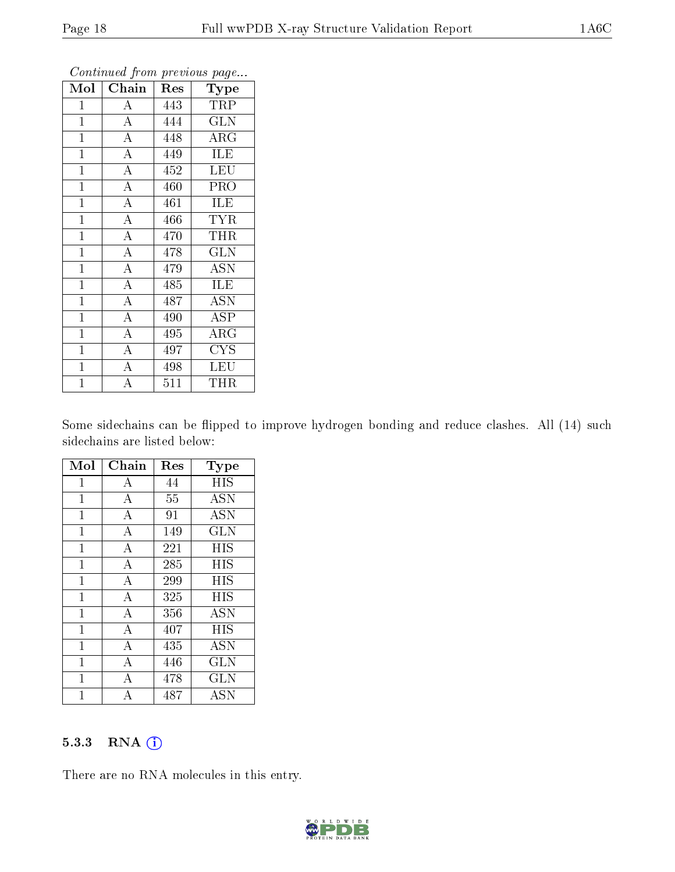| Mol            | Chain              | Res | Type                       |
|----------------|--------------------|-----|----------------------------|
| $\mathbf 1$    | А                  | 443 | TRP                        |
| $\mathbf{1}$   | $\overline{A}$     | 444 | $\overline{\text{GLN}}$    |
| $\mathbf{1}$   | $\overline{A}$     | 448 | $\overline{\rm A}{\rm RG}$ |
| $\mathbf{1}$   | $\overline{\rm A}$ | 449 | <b>ILE</b>                 |
| $\overline{1}$ | $\overline{\rm A}$ | 452 | <b>LEU</b>                 |
| $\mathbf{1}$   | $\overline{A}$     | 460 | <b>PRO</b>                 |
| $\overline{1}$ | $\overline{\rm A}$ | 461 | <b>ILE</b>                 |
| $\overline{1}$ | $\overline{A}$     | 466 | <b>TYR</b>                 |
| $\mathbf{1}$   | $\overline{A}$     | 470 | THR                        |
| $\mathbf{1}$   | $\overline{\rm A}$ | 478 | <b>GLN</b>                 |
| $\mathbf{1}$   | $\overline{A}$     | 479 | <b>ASN</b>                 |
| $\mathbf 1$    | $\overline{\rm A}$ | 485 | ILE                        |
| $\mathbf{1}$   | $\overline{A}$     | 487 | <b>ASN</b>                 |
| $\mathbf{1}$   | $\overline{\rm A}$ | 490 | <b>ASP</b>                 |
| $\mathbf{1}$   | $\overline{A}$     | 495 | $\rm{ARG}$                 |
| $\mathbf{1}$   | $\overline{\rm A}$ | 497 | <b>CYS</b>                 |
| $\mathbf{1}$   | $\overline{\rm A}$ | 498 | LEU                        |
| $\mathbf 1$    | $\overline{A}$     | 511 | THR                        |

Some sidechains can be flipped to improve hydrogen bonding and reduce clashes. All (14) such sidechains are listed below:

| Mol            | Chain              | Res | Type       |
|----------------|--------------------|-----|------------|
| 1              | $\boldsymbol{A}$   | 44  | HIS        |
| $\mathbf{1}$   | A                  | 55  | <b>ASN</b> |
| $\overline{1}$ | $\overline{\rm A}$ | 91  | <b>ASN</b> |
| $\mathbf{1}$   | $\overline{\rm A}$ | 149 | GLN        |
| $\mathbf{1}$   | $\overline{A}$     | 221 | HIS        |
| $\overline{1}$ | $\overline{\rm A}$ | 285 | HIS        |
| $\mathbf{1}$   | $\overline{A}$     | 299 | <b>HIS</b> |
| $\overline{1}$ | $\overline{\rm A}$ | 325 | <b>HIS</b> |
| $\mathbf{1}$   | $\boldsymbol{A}$   | 356 | <b>ASN</b> |
| $\mathbf{1}$   | $\overline{A}$     | 407 | HIS        |
| $\mathbf{1}$   | $\boldsymbol{A}$   | 435 | <b>ASN</b> |
| $\mathbf{1}$   | $\overline{A}$     | 446 | <b>GLN</b> |
| $\overline{1}$ | A                  | 478 | GLN        |
| 1              | A                  | 487 | <b>ASN</b> |

#### 5.3.3 RNA [O](https://www.wwpdb.org/validation/2017/XrayValidationReportHelp#rna)i

There are no RNA molecules in this entry.

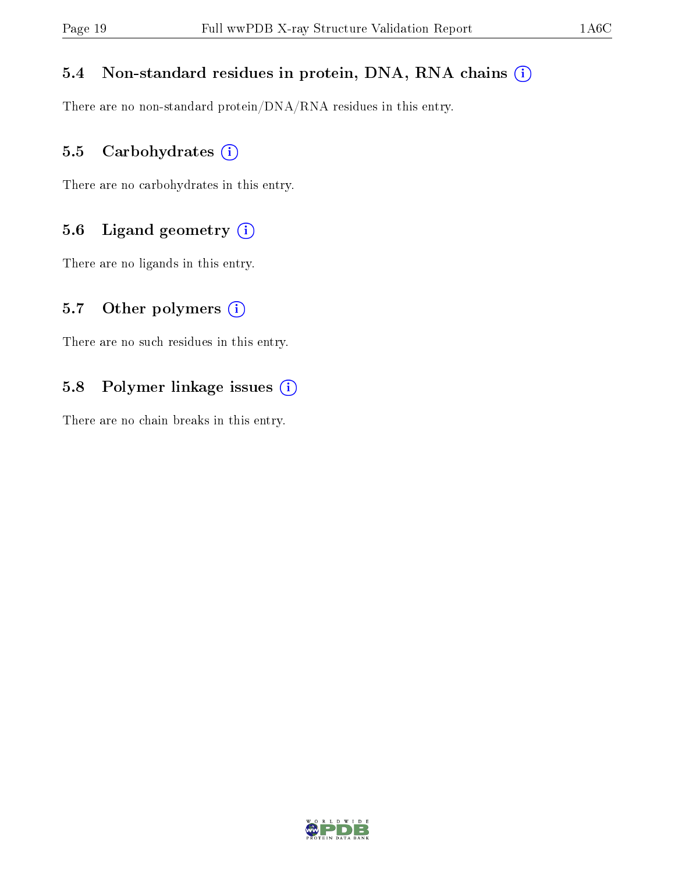### 5.4 Non-standard residues in protein, DNA, RNA chains (i)

There are no non-standard protein/DNA/RNA residues in this entry.

#### 5.5 Carbohydrates (i)

There are no carbohydrates in this entry.

### 5.6 Ligand geometry (i)

There are no ligands in this entry.

#### 5.7 [O](https://www.wwpdb.org/validation/2017/XrayValidationReportHelp#nonstandard_residues_and_ligands)ther polymers  $(i)$

There are no such residues in this entry.

### 5.8 Polymer linkage issues (i)

There are no chain breaks in this entry.